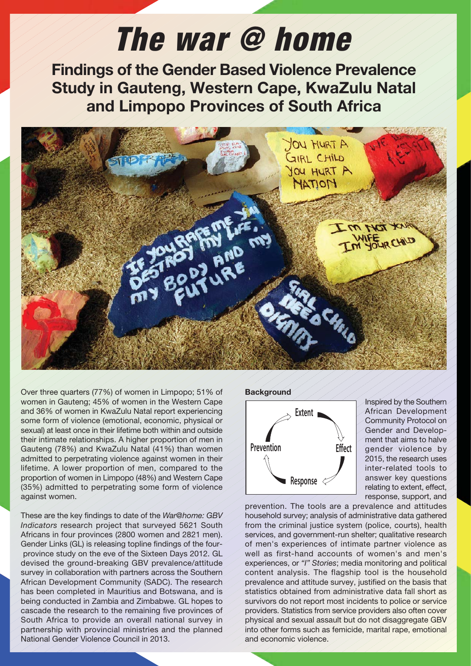# The war @ home

**Findings of the Gender Based Violence Prevalence Study in Gauteng, Western Cape, KwaZulu Natal and Limpopo Provinces of South Africa**



Over three quarters (77%) of women in Limpopo; 51% of women in Gauteng; 45% of women in the Western Cape and 36% of women in KwaZulu Natal report experiencing some form of violence (emotional, economic, physical or sexual) at least once in their lifetime both within and outside their intimate relationships. A higher proportion of men in Gauteng (78%) and KwaZulu Natal (41%) than women admitted to perpetrating violence against women in their lifetime. A lower proportion of men, compared to the proportion of women in Limpopo (48%) and Western Cape (35%) admitted to perpetrating some form of violence against women.

These are the key findings to date of the *War@home: GBV Indicators* research project that surveyed 5621 South Africans in four provinces (2800 women and 2821 men). Gender Links (GL) is releasing topline findings of the four province study on the eve of the Sixteen Days 2012. GL devised the ground-breaking GBV prevalence/attitude survey in collaboration with partners across the Southern African Development Community (SADC). The research has been completed in Mauritius and Botswana, and is being conducted in Zambia and Zimbabwe. GL hopes to cascade the research to the remaining five provinces of South Africa to provide an overall national survey in partnership with provincial ministries and the planned National Gender Violence Council in 2013.

#### **Background**



Inspired by the Southern African Development Community Protocol on Gender and Development that aims to halve gender violence by 2015, the research uses inter-related tools to answer key questions relating to extent, effect, response, support, and

prevention. The tools are a prevalence and attitudes household survey; analysis of administrative data gathered from the criminal justice system (police, courts), health services, and government-run shelter; qualitative research of men's experiences of intimate partner violence as well as first-hand accounts of women's and men's experiences, or *"I" Stories*; media monitoring and political content analysis. The flagship tool is the household prevalence and attitude survey, justified on the basis that statistics obtained from administrative data fall short as survivors do not report most incidents to police or service providers. Statistics from service providers also often cover physical and sexual assault but do not disaggregate GBV into other forms such as femicide, marital rape, emotional and economic violence.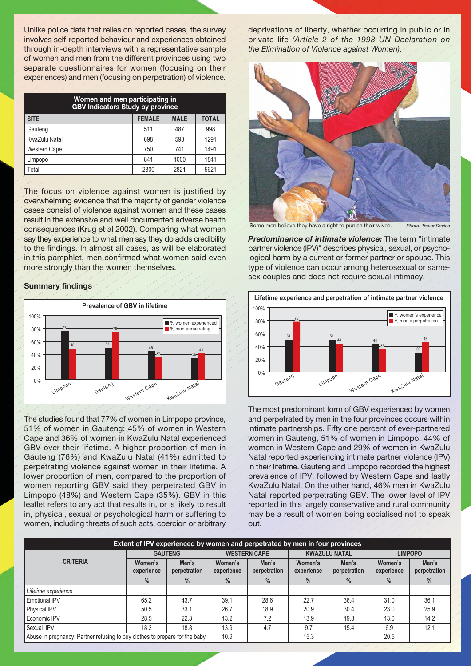Unlike police data that relies on reported cases, the survey involves self-reported behaviour and experiences obtained through in-depth interviews with a representative sample of women and men from the different provinces using two separate questionnaires for women (focusing on their experiences) and men (focusing on perpetration) of violence.

| Women and men participating in<br><b>GBV Indicators Study by province</b> |               |             |              |  |  |  |  |
|---------------------------------------------------------------------------|---------------|-------------|--------------|--|--|--|--|
| I SITE                                                                    | <b>FEMALE</b> | <b>MALE</b> | <b>TOTAL</b> |  |  |  |  |
| Gauteng                                                                   | 511           | 487         | 998          |  |  |  |  |
| KwaZulu Natal                                                             | 698           | 593         | 1291         |  |  |  |  |
| Western Cape                                                              | 750           | 741         | 1491         |  |  |  |  |
| Limpopo                                                                   | 841           | 1000        | 1841         |  |  |  |  |
| Total                                                                     | 2800          | 2821        | 5621         |  |  |  |  |

The focus on violence against women is justified by overwhelming evidence that the majority of gender violence cases consist of violence against women and these cases result in the extensive and well documented adverse health consequences (Krug et al 2002). Comparing what women say they experience to what men say they do adds credibility to the findings. In almost all cases, as will be elaborated in this pamphlet, men confirmed what women said even more strongly than the women themselves.

# **Summary findings**



The studies found that 77% of women in Limpopo province, 51% of women in Gauteng; 45% of women in Western Cape and 36% of women in KwaZulu Natal experienced GBV over their lifetime. A higher proportion of men in Gauteng (76%) and KwaZulu Natal (41%) admitted to perpetrating violence against women in their lifetime. A lower proportion of men, compared to the proportion of women reporting GBV said they perpetrated GBV in Limpopo (48%) and Western Cape (35%). GBV in this leaflet refers to any act that results in, or is likely to result in, physical, sexual or psychological harm or suffering to women, including threats of such acts, coercion or arbitrary

deprivations of liberty, whether occurring in public or in private life *(Article 2 of the 1993 UN Declaration on the Elimination of Violence against Women)*.



Some men believe they have a right to punish their wives. *Photo: Trevor Davies*

*Predominance of intimate violence:* The term "intimate partner violence (IPV)" describes physical, sexual, or psychological harm by a current or former partner or spouse. This type of violence can occur among heterosexual or samesex couples and does not require sexual intimacy.



The most predominant form of GBV experienced by women and perpetrated by men in the four provinces occurs within intimate partnerships. Fifty one percent of ever-partnered women in Gauteng, 51% of women in Limpopo, 44% of women in Western Cape and 29% of women in KwaZulu Natal reported experiencing intimate partner violence (IPV) in their lifetime. Gauteng and Limpopo recorded the highest prevalence of IPV, followed by Western Cape and lastly KwaZulu Natal. On the other hand, 46% men in KwaZulu Natal reported perpetrating GBV. The lower level of IPV reported in this largely conservative and rural community may be a result of women being socialised not to speak out.

| Extent of IPV experienced by women and perpetrated by men in four provinces |                       |                       |                       |                       |                       |                       |                       |                       |  |
|-----------------------------------------------------------------------------|-----------------------|-----------------------|-----------------------|-----------------------|-----------------------|-----------------------|-----------------------|-----------------------|--|
| <b>CRITERIA</b>                                                             | <b>GAUTENG</b>        |                       | <b>WESTERN CAPE</b>   |                       | <b>KWAZULU NATAL</b>  |                       | <b>LIMPOPO</b>        |                       |  |
|                                                                             | Women's<br>experience | Men's<br>perpetration | Women's<br>experience | Men's<br>perpetration | Women's<br>experience | Men's<br>perpetration | Women's<br>experience | Men's<br>perpetration |  |
|                                                                             | $\frac{0}{0}$         | $\frac{0}{0}$         | $\frac{0}{0}$         | $\frac{0}{0}$         | $\frac{0}{0}$         | $\frac{0}{0}$         | $\frac{0}{0}$         | $\frac{0}{0}$         |  |
| Lifetime experience                                                         |                       |                       |                       |                       |                       |                       |                       |                       |  |
| <b>Emotional IPV</b>                                                        | 65.2                  | 43.7                  | 39.1                  | 28.6                  | 22.7                  | 36.4                  | 31.0                  | 36.1                  |  |
| Physical IPV                                                                | 50.5                  | 33.1                  | 26.7                  | 18.9                  | 20.9                  | 30.4                  | 23.0                  | 25.9                  |  |
| Economic IPV                                                                | 28.5                  | 22.3                  | 13.2                  | 7.2                   | 13.9                  | 19.8                  | 13.0                  | 14.2                  |  |
| Sexual IPV                                                                  | 18.2                  | 18.8                  | 13.9                  | 4.7                   | 9.7                   | 15.4                  | 6.9                   | 12.1                  |  |
| Abuse in pregnancy: Partner refusing to buy clothes to prepare for the baby |                       |                       | 10.9                  |                       | 15.3                  |                       | 20.5                  |                       |  |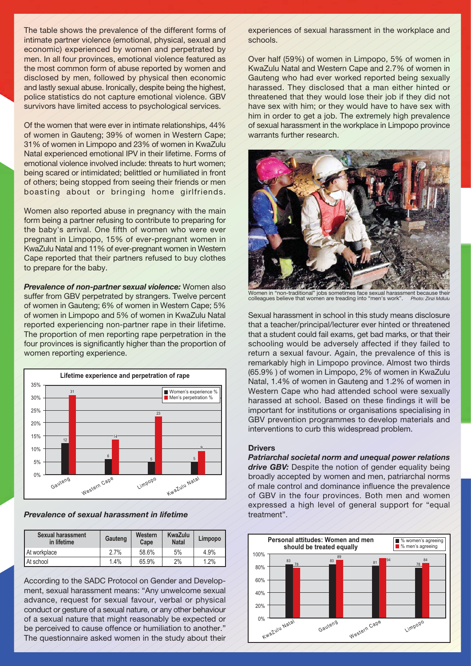The table shows the prevalence of the different forms of intimate partner violence (emotional, physical, sexual and economic) experienced by women and perpetrated by men. In all four provinces, emotional violence featured as the most common form of abuse reported by women and disclosed by men, followed by physical then economic and lastly sexual abuse. Ironically, despite being the highest, police statistics do not capture emotional violence. GBV survivors have limited access to psychological services.

Of the women that were ever in intimate relationships, 44% of women in Gauteng; 39% of women in Western Cape; 31% of women in Limpopo and 23% of women in KwaZulu Natal experienced emotional IPV in their lifetime. Forms of emotional violence involved include: threats to hurt women; being scared or intimidated; belittled or humiliated in front of others; being stopped from seeing their friends or men boasting about or bringing home girlfriends.

Women also reported abuse in pregnancy with the main form being a partner refusing to contribute to preparing for the baby's arrival. One fifth of women who were ever pregnant in Limpopo, 15% of ever-pregnant women in KwaZulu Natal and 11% of ever-pregnant women in Western Cape reported that their partners refused to buy clothes to prepare for the baby.

*Prevalence of non-partner sexual violence:* Women also suffer from GBV perpetrated by strangers. Twelve percent of women in Gauteng; 6% of women in Western Cape; 5% of women in Limpopo and 5% of women in KwaZulu Natal reported experiencing non-partner rape in their lifetime. The proportion of men reporting rape perpetration in the four provinces is significantly higher than the proportion of women reporting experience.



*Prevalence of sexual harassment in lifetime*

| Sexual harassment<br>in lifetime | Gauteng | Western<br>Cape | KwaZulu<br><b>Natal</b> | Limpopo |
|----------------------------------|---------|-----------------|-------------------------|---------|
| At workplace                     | 2.7%    | 58.6%           | 5%                      | 4.9%    |
| At school                        | 1.4%    | 65.9%           | 2%                      | 1.2%    |

According to the SADC Protocol on Gender and Development, sexual harassment means: "Any unwelcome sexual advance, request for sexual favour, verbal or physical conduct or gesture of a sexual nature, or any other behaviour of a sexual nature that might reasonably be expected or be perceived to cause offence or humiliation to another." The questionnaire asked women in the study about their

experiences of sexual harassment in the workplace and schools.

Over half (59%) of women in Limpopo, 5% of women in KwaZulu Natal and Western Cape and 2.7% of women in Gauteng who had ever worked reported being sexually harassed. They disclosed that a man either hinted or threatened that they would lose their job if they did not have sex with him; or they would have to have sex with him in order to get a job. The extremely high prevalence of sexual harassment in the workplace in Limpopo province warrants further research.



Women in "non-traditional" jobs sometimes face sexual harassment because their colleagues believe that women are treading into "men's work". *Photo: Zinzi Mdlulu*

Sexual harassment in school in this study means disclosure that a teacher/principal/lecturer ever hinted or threatened that a student could fail exams, get bad marks, or that their schooling would be adversely affected if they failed to return a sexual favour. Again, the prevalence of this is remarkably high in Limpopo province. Almost two thirds (65.9% ) of women in Limpopo, 2% of women in KwaZulu Natal, 1.4% of women in Gauteng and 1.2% of women in Western Cape who had attended school were sexually harassed at school. Based on these findings it will be important for institutions or organisations specialising in GBV prevention programmes to develop materials and interventions to curb this widespread problem.

# **Drivers**

*Patriarchal societal norm and unequal power relations* drive GBV: Despite the notion of gender equality being broadly accepted by women and men, patriarchal norms of male control and dominance influence the prevalence of GBV in the four provinces. Both men and women expressed a high level of general support for "equal treatment".

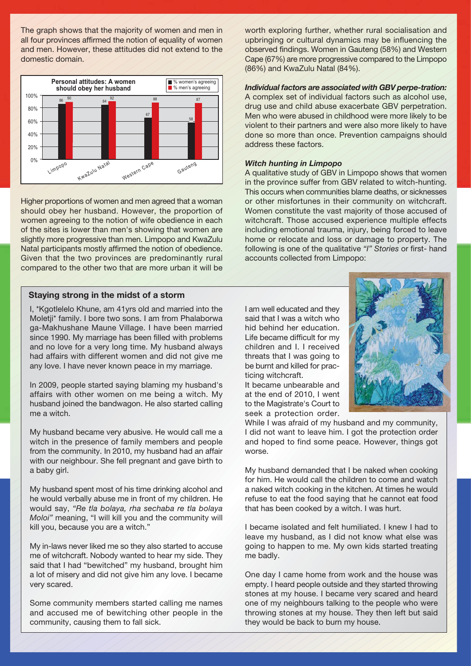The graph shows that the majority of women and men in all four provinces affirmed the notion of equality of women and men. However, these attitudes did not extend to the domestic domain.



Higher proportions of women and men agreed that a woman should obey her husband. However, the proportion of women agreeing to the notion of wife obedience in each of the sites is lower than men's showing that women are slightly more progressive than men. Limpopo and KwaZulu Natal participants mostly affirmed the notion of obedience. Given that the two provinces are predominantly rural compared to the other two that are more urban it will be

# **Staying strong in the midst of a storm**

I, \*Kgotlelelo Khune, am 41yrs old and married into the Moletji\* family. I bore two sons. I am from Phalaborwa ga-Makhushane Maune Village. I have been married since 1990. My marriage has been filled with problems and no love for a very long time. My husband always had affairs with different women and did not give me any love. I have never known peace in my marriage.

In 2009, people started saying blaming my husband's affairs with other women on me being a witch. My husband joined the bandwagon. He also started calling me a witch.

My husband became very abusive. He would call me a witch in the presence of family members and people from the community. In 2010, my husband had an affair with our neighbour. She fell pregnant and gave birth to a baby girl.

My husband spent most of his time drinking alcohol and he would verbally abuse me in front of my children. He would say, *"Re tla bolaya, rha sechaba re tla bolaya Moloi"* meaning, "I will kill you and the community will kill you, because you are a witch."

My in-laws never liked me so they also started to accuse me of witchcraft. Nobody wanted to hear my side. They said that I had "bewitched" my husband, brought him a lot of misery and did not give him any love. I became very scared.

Some community members started calling me names and accused me of bewitching other people in the community, causing them to fall sick.

worth exploring further, whether rural socialisation and upbringing or cultural dynamics may be influencing the observed findings. Women in Gauteng (58%) and Western Cape (67%) are more progressive compared to the Limpopo (86%) and KwaZulu Natal (84%).

# *Individual factors are associated with GBV perpe-tration:*

A complex set of individual factors such as alcohol use, drug use and child abuse exacerbate GBV perpetration. Men who were abused in childhood were more likely to be violent to their partners and were also more likely to have done so more than once. Prevention campaigns should address these factors.

## *Witch hunting in Limpopo*

A qualitative study of GBV in Limpopo shows that women in the province suffer from GBV related to witch-hunting. This occurs when communities blame deaths, or sicknesses or other misfortunes in their community on witchcraft. Women constitute the vast majority of those accused of witchcraft. Those accused experience multiple effects including emotional trauma, injury, being forced to leave home or relocate and loss or damage to property. The following is one of the qualitative *"I" Stories* or first- hand accounts collected from Limpopo:

I am well educated and they said that I was a witch who hid behind her education. Life became difficult for my children and I. I received threats that I was going to be burnt and killed for practicing witchcraft.

It became unbearable and at the end of 2010, I went to the Magistrate's Court to seek a protection order.



While I was afraid of my husband and my community, I did not want to leave him. I got the protection order and hoped to find some peace. However, things got worse.

My husband demanded that I be naked when cooking for him. He would call the children to come and watch a naked witch cooking in the kitchen. At times he would refuse to eat the food saying that he cannot eat food that has been cooked by a witch. I was hurt.

I became isolated and felt humiliated. I knew I had to leave my husband, as I did not know what else was going to happen to me. My own kids started treating me badly.

One day I came home from work and the house was empty. I heard people outside and they started throwing stones at my house. I became very scared and heard one of my neighbours talking to the people who were throwing stones at my house. They then left but said they would be back to burn my house.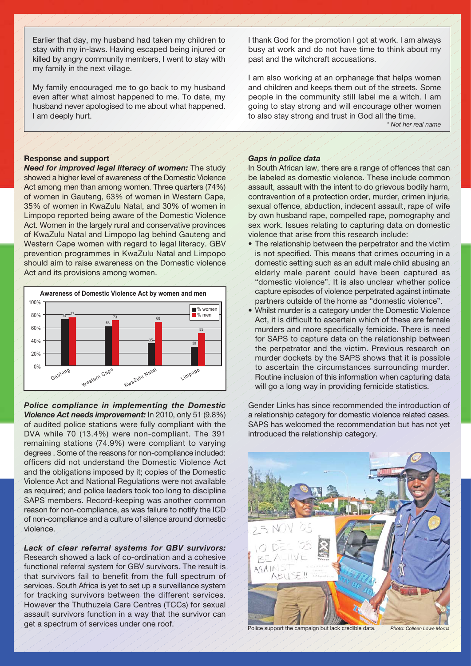Earlier that day, my husband had taken my children to stay with my in-laws. Having escaped being injured or killed by angry community members, I went to stay with my family in the next village.

My family encouraged me to go back to my husband even after what almost happened to me. To date, my husband never apologised to me about what happened. I am deeply hurt.

#### **Response and support**

*Need for improved legal literacy of women:* The study showed a higher level of awareness of the Domestic Violence Act among men than among women. Three quarters (74%) of women in Gauteng, 63% of women in Western Cape, 35% of women in KwaZulu Natal, and 30% of women in Limpopo reported being aware of the Domestic Violence Act. Women in the largely rural and conservative provinces of KwaZulu Natal and Limpopo lag behind Gauteng and Western Cape women with regard to legal literacy. GBV prevention programmes in KwaZulu Natal and Limpopo should aim to raise awareness on the Domestic violence Act and its provisions among women.



*Police compliance in implementing the Domestic Violence Act needs improvement:* In 2010, only 51 (9.8%) of audited police stations were fully compliant with the DVA while 70 (13.4%) were non-compliant. The 391 remaining stations (74.9%) were compliant to varying degrees . Some of the reasons for non-compliance included: officers did not understand the Domestic Violence Act and the obligations imposed by it; copies of the Domestic Violence Act and National Regulations were not available as required; and police leaders took too long to discipline SAPS members. Record-keeping was another common reason for non-compliance, as was failure to notify the ICD of non-compliance and a culture of silence around domestic violence.

#### *Lack of clear referral systems for GBV survivors:*

Research showed a lack of co-ordination and a cohesive functional referral system for GBV survivors. The result is that survivors fail to benefit from the full spectrum of services. South Africa is yet to set up a surveillance system for tracking survivors between the different services. However the Thuthuzela Care Centres (TCCs) for sexual assault survivors function in a way that the survivor can get a spectrum of services under one roof.

I thank God for the promotion I got at work. I am always busy at work and do not have time to think about my past and the witchcraft accusations.

I am also working at an orphanage that helps women and children and keeps them out of the streets. Some people in the community still label me a witch. I am going to stay strong and will encourage other women to also stay strong and trust in God all the time.

*\* Not her real name*

# *Gaps in police data*

In South African law, there are a range of offences that can be labeled as domestic violence. These include common assault, assault with the intent to do grievous bodily harm, contravention of a protection order, murder, crimen injuria, sexual offence, abduction, indecent assault, rape of wife by own husband rape, compelled rape, pornography and sex work. Issues relating to capturing data on domestic violence that arise from this research include:

- The relationship between the perpetrator and the victim is not specified. This means that crimes occurring in a domestic setting such as an adult male child abusing an elderly male parent could have been captured as "domestic violence". It is also unclear whether police capture episodes of violence perpetrated against intimate partners outside of the home as "domestic violence".
- Whilst murder is a category under the Domestic Violence Act, it is difficult to ascertain which of these are female murders and more specifically femicide. There is need for SAPS to capture data on the relationship between the perpetrator and the victim. Previous research on murder dockets by the SAPS shows that it is possible to ascertain the circumstances surrounding murder. Routine inclusion of this information when capturing data will go a long way in providing femicide statistics.

Gender Links has since recommended the introduction of a relationship category for domestic violence related cases. SAPS has welcomed the recommendation but has not yet introduced the relationship category.